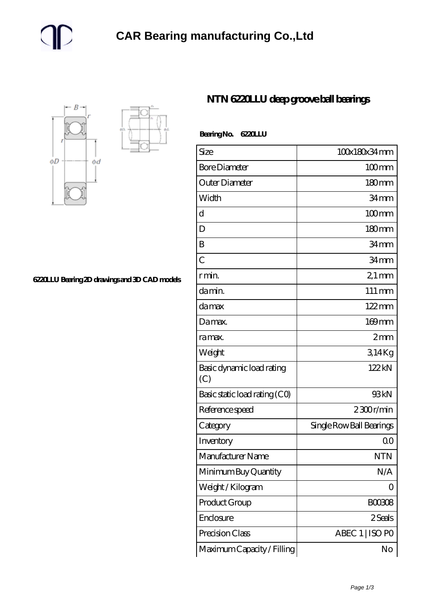

**[6220LLU Bearing 2D drawings and 3D CAD models](https://m.gmgyb.com/pic-48756.html)**

## **[NTN 6220LLU deep groove ball bearings](https://m.gmgyb.com/af-48756-ntn-6220llu-deep-groove-ball-bearings.html)**

| Bearing No. 6220LLU |  |
|---------------------|--|
|                     |  |

| Size                             | 100x180x34mm             |
|----------------------------------|--------------------------|
| <b>Bore Diameter</b>             | $100$ mm                 |
| Outer Diameter                   | 180mm                    |
| Width                            | 34mm                     |
| d                                | $100$ mm                 |
| D                                | 180mm                    |
| B                                | 34 <sub>mm</sub>         |
| $\overline{C}$                   | 34 <sub>mm</sub>         |
| r min.                           | $21 \,\mathrm{mm}$       |
| da min.                          | $111 \,\mathrm{mm}$      |
| da max                           | $122 \,\mathrm{mm}$      |
| Damax.                           | 169mm                    |
| ra max.                          | 2mm                      |
| Weight                           | 314Kg                    |
| Basic dynamic load rating<br>(C) | 122kN                    |
| Basic static load rating (CO)    | 93kN                     |
| Reference speed                  | $2300$ r/min             |
| Category                         | Single Row Ball Bearings |
| Inventory                        | 0 <sub>0</sub>           |
| Manufacturer Name                | <b>NTN</b>               |
| Minimum Buy Quantity             | N/A                      |
| Weight / Kilogram                | $\Omega$                 |
| Product Group                    | <b>BOO3O8</b>            |
| Enclosure                        | 2 Seals                  |
| Precision Class                  | ABEC 1   ISO PO          |
| Maximum Capacity / Filling       | No                       |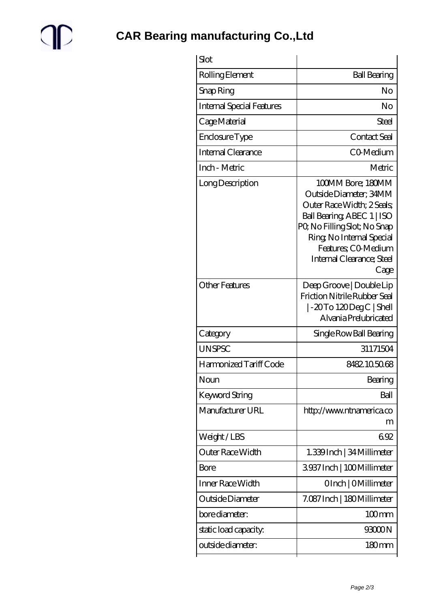

| Slot                             |                                                                                                                                                                                                                                |
|----------------------------------|--------------------------------------------------------------------------------------------------------------------------------------------------------------------------------------------------------------------------------|
| Rolling Element                  | <b>Ball Bearing</b>                                                                                                                                                                                                            |
| Snap Ring                        | No                                                                                                                                                                                                                             |
| <b>Internal Special Features</b> | No                                                                                                                                                                                                                             |
| Cage Material                    | Steel                                                                                                                                                                                                                          |
| Enclosure Type                   | Contact Seal                                                                                                                                                                                                                   |
| Internal Clearance               | CO-Medium                                                                                                                                                                                                                      |
| Inch - Metric                    | Metric                                                                                                                                                                                                                         |
| Long Description                 | 100MM Bore; 180MM<br>Outside Diameter; 34MM<br>Outer Race Width; 2 Seals;<br>Ball Bearing ABEC 1   ISO<br>PQ No Filling Slot; No Snap<br>Ring, No Internal Special<br>Features: CO-Medium<br>Internal Clearance; Steel<br>Cage |
| <b>Other Features</b>            | Deep Groove   Double Lip<br>Friction Nitrile Rubber Seal<br>$\sim$ 20To 120DegC Shell<br>Alvania Prelubricated                                                                                                                 |
| Category                         | Single Row Ball Bearing                                                                                                                                                                                                        |
| <b>UNSPSC</b>                    | 31171504                                                                                                                                                                                                                       |
| Harmonized Tariff Code           | 8482105068                                                                                                                                                                                                                     |
| Noun                             | Bearing                                                                                                                                                                                                                        |
| Keyword String                   | Ball                                                                                                                                                                                                                           |
| Manufacturer URL                 | http://www.ntnamerica.co<br>m                                                                                                                                                                                                  |
| Weight/LBS                       | 692                                                                                                                                                                                                                            |
| Outer Race Width                 | 1.339Inch   34 Millimeter                                                                                                                                                                                                      |
| Bore                             | 3937Inch   100Millimeter                                                                                                                                                                                                       |
| Inner Race Width                 | OInch   OMillimeter                                                                                                                                                                                                            |
| Outside Diameter                 | 7.087 Inch   180 Millimeter                                                                                                                                                                                                    |
| bore diameter:                   | $100$ mm                                                                                                                                                                                                                       |
| static load capacity.            | 93000N                                                                                                                                                                                                                         |
| outside diameter:                | 180mm                                                                                                                                                                                                                          |
|                                  |                                                                                                                                                                                                                                |